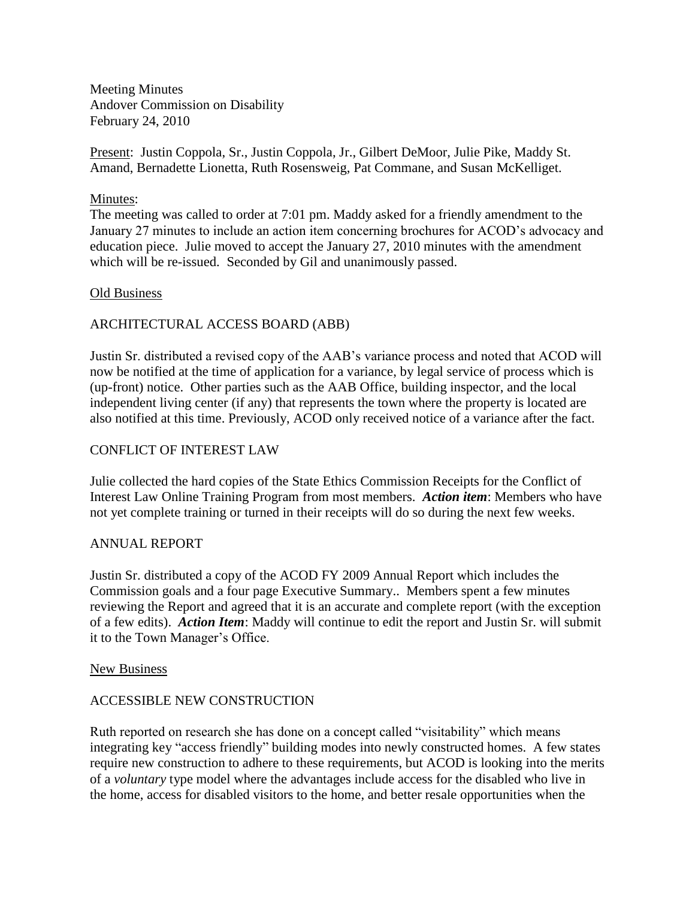Meeting Minutes Andover Commission on Disability February 24, 2010

Present: Justin Coppola, Sr., Justin Coppola, Jr., Gilbert DeMoor, Julie Pike, Maddy St. Amand, Bernadette Lionetta, Ruth Rosensweig, Pat Commane, and Susan McKelliget.

#### Minutes:

The meeting was called to order at 7:01 pm. Maddy asked for a friendly amendment to the January 27 minutes to include an action item concerning brochures for ACOD's advocacy and education piece. Julie moved to accept the January 27, 2010 minutes with the amendment which will be re-issued. Seconded by Gil and unanimously passed.

#### Old Business

# ARCHITECTURAL ACCESS BOARD (ABB)

Justin Sr. distributed a revised copy of the AAB's variance process and noted that ACOD will now be notified at the time of application for a variance, by legal service of process which is (up-front) notice. Other parties such as the AAB Office, building inspector, and the local independent living center (if any) that represents the town where the property is located are also notified at this time. Previously, ACOD only received notice of a variance after the fact.

## CONFLICT OF INTEREST LAW

Julie collected the hard copies of the State Ethics Commission Receipts for the Conflict of Interest Law Online Training Program from most members. *Action item*: Members who have not yet complete training or turned in their receipts will do so during the next few weeks.

#### ANNUAL REPORT

Justin Sr. distributed a copy of the ACOD FY 2009 Annual Report which includes the Commission goals and a four page Executive Summary.. Members spent a few minutes reviewing the Report and agreed that it is an accurate and complete report (with the exception of a few edits). *Action Item*: Maddy will continue to edit the report and Justin Sr. will submit it to the Town Manager's Office.

#### New Business

#### ACCESSIBLE NEW CONSTRUCTION

Ruth reported on research she has done on a concept called "visitability" which means integrating key "access friendly" building modes into newly constructed homes. A few states require new construction to adhere to these requirements, but ACOD is looking into the merits of a *voluntary* type model where the advantages include access for the disabled who live in the home, access for disabled visitors to the home, and better resale opportunities when the